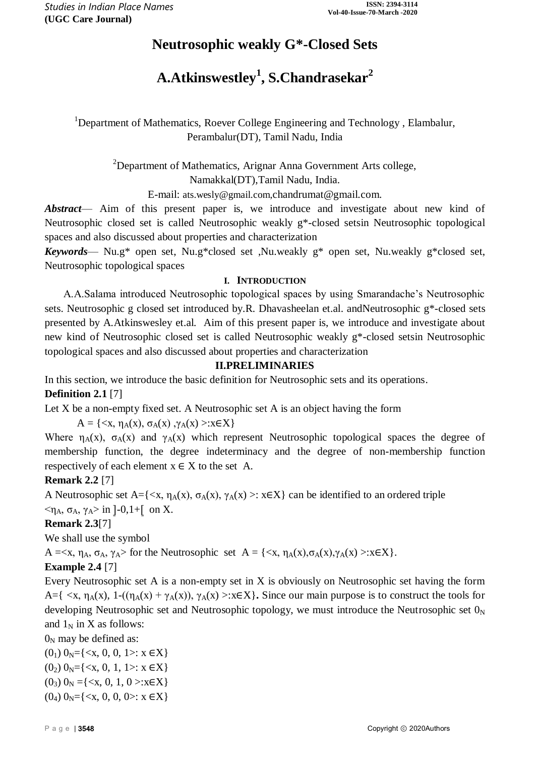## **Neutrosophic weakly G\*-Closed Sets**

# **A.Atkinswestley<sup>1</sup> , S.Chandrasekar<sup>2</sup>**

<sup>1</sup>Department of Mathematics, Roever College Engineering and Technology, Elambalur, Perambalur(DT), Tamil Nadu, India

 $2$ Department of Mathematics, Arignar Anna Government Arts college, Namakkal(DT),Tamil Nadu, India.

E-mail: [ats.wesly@gmail.com,](mailto:ats.wesly@gmail.com)chandrumat@gmail.com.

*Abstract*— Aim of this present paper is, we introduce and investigate about new kind of Neutrosophic closed set is called Neutrosophic weakly g\*-closed setsin Neutrosophic topological spaces and also discussed about properties and characterization

*Keywords*— Nu.g\* open set, Nu.g\*closed set ,Nu.weakly g\* open set, Nu.weakly g\*closed set, Neutrosophic topological spaces

#### **I. INTRODUCTION**

 A.A.Salama introduced Neutrosophic topological spaces by using Smarandache's Neutrosophic sets. Neutrosophic g closed set introduced by.R. Dhavasheelan et.al. andNeutrosophic g\*-closed sets presented by A.Atkinswesley et.al. Aim of this present paper is, we introduce and investigate about new kind of Neutrosophic closed set is called Neutrosophic weakly g\*-closed setsin Neutrosophic topological spaces and also discussed about properties and characterization

#### **II.PRELIMINARIES**

In this section, we introduce the basic definition for Neutrosophic sets and its operations. **Definition 2.1** [7]

Let X be a non-empty fixed set. A Neutrosophic set A is an object having the form

 $A = \{ \langle x, \eta_A(x), \sigma_A(x), \gamma_A(x) \rangle : x \in X \}$ 

Where  $\eta_A(x)$ ,  $\sigma_A(x)$  and  $\gamma_A(x)$  which represent Neutrosophic topological spaces the degree of membership function, the degree indeterminacy and the degree of non-membership function respectively of each element  $x \in X$  to the set A.

## **Remark 2.2** [7]

A Neutrosophic set A={ $\langle x, \eta_A(x), \sigma_A(x), \gamma_A(x) \rangle$ :  $x \in X$ } can be identified to an ordered triple  $\langle \eta_A, \sigma_A, \gamma_A \rangle$  in  $]-0,1+$  on X.

## **Remark 2.3**[7]

We shall use the symbol

 $A = \langle x, \eta_A, \sigma_A, \gamma_A \rangle$  for the Neutrosophic set  $A = \{\langle x, \eta_A(x), \sigma_A(x), \gamma_A(x) \rangle : x \in X\}.$ 

## **Example 2.4** [7]

Every Neutrosophic set A is a non-empty set in X is obviously on Neutrosophic set having the form A={  $\langle x, \eta_A(x), 1-((\eta_A(x) + \gamma_A(x)), \gamma_A(x) \rangle : x \in X$ }. Since our main purpose is to construct the tools for developing Neutrosophic set and Neutrosophic topology, we must introduce the Neutrosophic set  $0<sub>N</sub>$ and  $1_N$  in X as follows:

 $0<sub>N</sub>$  may be defined as:

 $(0_1)$   $0_N = \{ \langle x, 0, 0, 1 \rangle : x \in X \}$  $(0_2)$   $0_N = \{ \langle x, 0, 1, 1 \rangle : x \in X \}$ 

 $(0_3)$   $0_N = \{ \langle x, 0, 1, 0 \rangle : x \in X \}$ 

 $(0_4)$   $0_N = \{ \langle x, 0, 0, 0 \rangle : x \in X \}$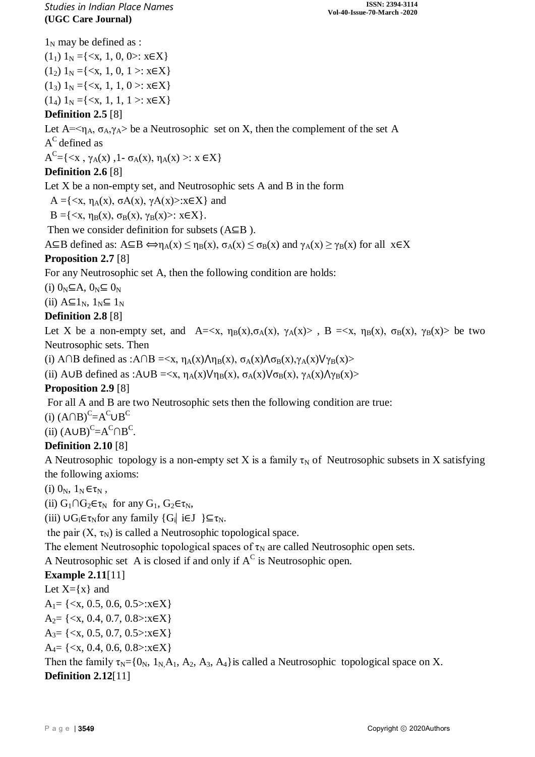$1_N$  may be defined as :

 $(1<sub>1</sub>)$  1<sub>N</sub> ={<x, 1, 0, 0>: x $\in$ X}  $(1_2)$  1<sub>N</sub> ={ $\langle x, 1, 0, 1 \rangle$ :  $x \in X$ }  $(1_3) 1_N = \{ \langle x, 1, 1, 0 \rangle : x \in X \}$  $(1_4) 1_N = \{ \langle x, 1, 1, 1 \rangle : x \in X \}$ 

## **Definition 2.5** [8]

Let  $A=\langle \eta_A, \sigma_A, \gamma_A \rangle$  be a Neutrosophic set on X, then the complement of the set A  $A^C$  defined as

 $A^{C} = \{ \langle x, \gamma_A(x), 1 - \sigma_A(x), \eta_A(x) \rangle : x \in X \}$ 

## **Definition 2.6** [8]

Let X be a non-empty set, and Neutrosophic sets A and B in the form

 $A = \{ \langle x, \eta_A(x), \sigma A(x), \gamma A(x) \rangle : x \in X \}$  and

 $B = \{ \langle x, \eta_B(x), \sigma_B(x), \gamma_B(x) \rangle : x \in X \}.$ 

Then we consider definition for subsets (A⊆B ).

 $A\subseteq B$  defined as:  $A\subseteq B \Leftrightarrow \eta_A(x) \leq \eta_B(x)$ ,  $\sigma_A(x) \leq \sigma_B(x)$  and  $\gamma_A(x) \geq \gamma_B(x)$  for all  $x \in X$ 

## **Proposition 2.7** [8]

For any Neutrosophic set A, then the following condition are holds:

(i)  $0_N \subseteq A$ ,  $0_N \subseteq 0_N$ 

(ii)  $A \subseteq 1_N$ ,  $1_N \subseteq 1_N$ 

## **Definition 2.8** [8]

Let X be a non-empty set, and  $A = \langle x, \eta_B(x), \sigma_A(x), \gamma_A(x) \rangle$ ,  $B = \langle x, \eta_B(x), \sigma_B(x), \gamma_B(x) \rangle$  be two Neutrosophic sets. Then

(i) A∩B defined as :A∩B =  $\langle x, \eta_A(x) \rangle \eta_B(x), \sigma_A(x) \rangle \sigma_B(x), \gamma_A(x) \forall \gamma_B(x)$ >

(ii) A∪B defined as :A∪B =  $\langle x, \eta_A(x) \rangle / \eta_B(x), \sigma_A(x) \rangle / \sigma_B(x), \gamma_A(x) / \gamma_B(x)$ 

## **Proposition 2.9** [8]

For all A and B are two Neutrosophic sets then the following condition are true:

(i)  $(A \cap B)^C = A^C \cup B^C$ 

(ii)  $(A \cup B)^C = A^C \cap B^C$ .

## **Definition 2.10** [8]

A Neutrosophic topology is a non-empty set X is a family  $\tau_N$  of Neutrosophic subsets in X satisfying the following axioms:

(i)  $0_N$ ,  $1_N \in \tau_N$ ,

(ii)  $G_1 \cap G_2 \in \tau_N$  for any  $G_1$ ,  $G_2 \in \tau_N$ ,

(iii)  $\bigcup G_i \in \tau_N$  for any family  $\{G_i \mid i \in J \} \subseteq \tau_N$ .

the pair  $(X, \tau_N)$  is called a Neutrosophic topological space.

The element Neutrosophic topological spaces of  $\tau_N$  are called Neutrosophic open sets.

A Neutrosophic set A is closed if and only if  $A^C$  is Neutrosophic open.

## **Example 2.11**[11]

Let  $X=\{x\}$  and  $A_1 = \{ \langle x, 0.5, 0.6, 0.5 \rangle : x \in X \}$  $A_2 = \{ \langle x, 0.4, 0.7, 0.8 \rangle : x \in X \}$  $A_3 = \{ \langle x, 0.5, 0.7, 0.5 \rangle : x \in X \}$  $A_4 = \{ \langle x, 0.4, 0.6, 0.8 \rangle : x \in X \}$ Then the family  $\tau_N = \{0_N, 1_N, A_1, A_2, A_3, A_4\}$  is called a Neutrosophic topological space on X. **Definition 2.12**[11]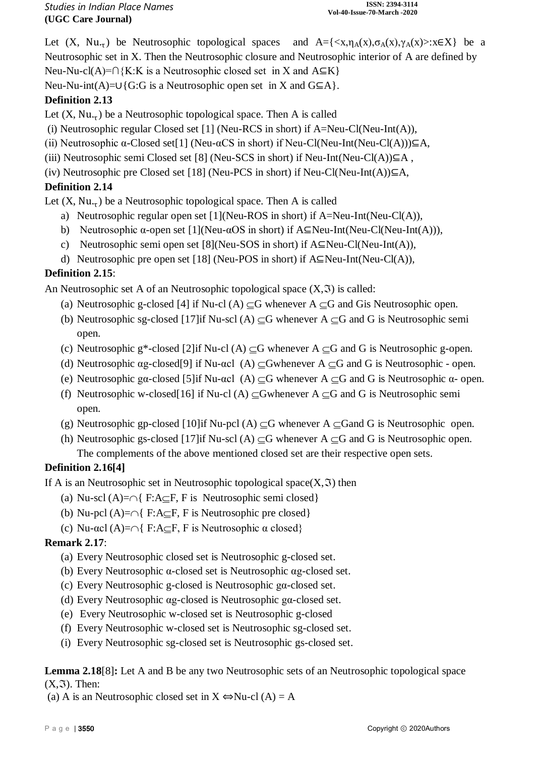Let  $(X, Nu_{\tau})$  be Neutrosophic topological spaces and  $A = \{ \langle x, \eta_A(x), \sigma_A(x), \gamma_A(x) \rangle : x \in X \}$  be a Neutrosophic set in X. Then the Neutrosophic closure and Neutrosophic interior of A are defined by Neu-Nu-cl(A)=∩{K:K is a Neutrosophic closed set in X and  $A \subseteq K$ }

Neu-Nu-int(A)=∪{G:G is a Neutrosophic open set in X and G⊆A}.

## **Definition 2.13**

Let  $(X, Nu_{\tau})$  be a Neutrosophic topological space. Then A is called

- (i) Neutrosophic regular Closed set [1] (Neu-RCS in short) if  $A=Neu$ -Cl(Neu-Int(A)),
- (ii) Neutrosophic  $\alpha$ -Closed set[1] (Neu- $\alpha$ CS in short) if Neu-Cl(Neu-Int(Neu-Cl(A))) $\subseteq$ A,
- (iii) Neutrosophic semi Closed set [8] (Neu-SCS in short) if Neu-Int(Neu-Cl(A)) $\subseteq$ A,

(iv) Neutrosophic pre Closed set [18] (Neu-PCS in short) if Neu-Cl(Neu-Int(A)) $\subseteq$ A,

## **Definition 2.14**

Let  $(X, Nu_{\tau})$  be a Neutrosophic topological space. Then A is called

- a) Neutrosophic regular open set [1](Neu-ROS in short) if A=Neu-Int(Neu-Cl(A)),
- b) Neutrosophic  $\alpha$ -open set [1](Neu- $\alpha$ OS in short) if A⊆Neu-Int(Neu-Cl(Neu-Int(A))),
- c) Neutrosophic semi open set [8](Neu-SOS in short) if A⊆Neu-Cl(Neu-Int(A)),
- d) Neutrosophic pre open set [18] (Neu-POS in short) if A⊆Neu-Int(Neu-Cl(A)),

## **Definition 2.15**:

An Neutrosophic set A of an Neutrosophic topological space  $(X, \mathfrak{I})$  is called:

- (a) Neutrosophic g-closed [4] if Nu-cl (A)  $\subset$ G whenever A  $\subset$ G and Gis Neutrosophic open.
- (b) Neutrosophic sg-closed [17] if Nu-scl (A)  $\subset$ G whenever A  $\subset$ G and G is Neutrosophic semi open.
- (c) Neutrosophic g\*-closed [2]if Nu-cl (A)  $\subseteq$ G whenever A  $\subseteq$ G and G is Neutrosophic g-open.
- (d) Neutrosophic ag-closed[9] if Nu-acl (A)  $\subseteq$ Gwhenever A  $\subseteq$ G and G is Neutrosophic open.
- (e) Neutrosophic gα-closed [5]if Nu-αcl (A)  $\subset$ G whenever A  $\subset$ G and G is Neutrosophic α- open.
- (f) Neutrosophic w-closed[16] if Nu-cl (A)  $\subset$ Gwhenever A  $\subset$ G and G is Neutrosophic semi open.
- (g) Neutrosophic gp-closed [10]if Nu-pcl (A)  $\subseteq$ G whenever A  $\subseteq$ Gand G is Neutrosophic open.
- (h) Neutrosophic gs-closed [17] if Nu-scl (A)  $\subset$ G whenever A  $\subset$ G and G is Neutrosophic open. The complements of the above mentioned closed set are their respective open sets.

## **Definition 2.16[4]**

If A is an Neutrosophic set in Neutrosophic topological space $(X, \mathfrak{I})$  then

- (a) Nu-scl  $(A)=\cap\{F:A\subset F, F \text{ is Neutrosophic semi closed}\}$
- (b) Nu-pcl  $(A)=\cap\{F:A\subset F, F \text{ is Neutrosophic pre closed}\}$
- (c) Nu- $\alpha$ cl (A)= $\cap$ { F:A $\subset$ F, F is Neutrosophic  $\alpha$  closed}

## **Remark 2.17**:

- (a) Every Neutrosophic closed set is Neutrosophic g-closed set.
- (b) Every Neutrosophic α-closed set is Neutrosophic αg-closed set.
- (c) Every Neutrosophic g-closed is Neutrosophic gα-closed set.
- (d) Every Neutrosophic αg-closed is Neutrosophic gα-closed set.
- (e) Every Neutrosophic w-closed set is Neutrosophic g-closed
- (f) Every Neutrosophic w-closed set is Neutrosophic sg-closed set.
- (i) Every Neutrosophic sg-closed set is Neutrosophic gs-closed set.

**Lemma 2.18**[8]**:** Let A and B be any two Neutrosophic sets of an Neutrosophic topological space  $(X, \mathfrak{I})$ . Then:

(a) A is an Neutrosophic closed set in  $X \Leftrightarrow Nu\text{-}cl(A) = A$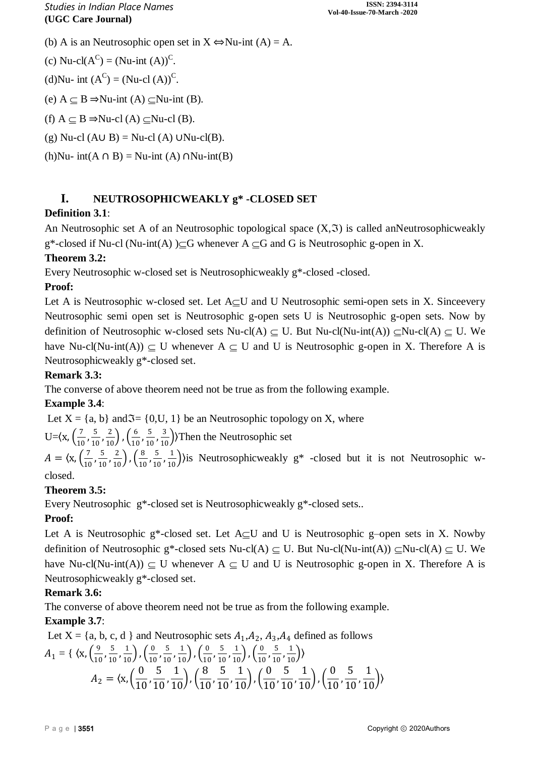(b) A is an Neutrosophic open set in  $X \Leftrightarrow Nu$ -int  $(A) = A$ .

(c) Nu-cl( $A^C$ ) = (Nu-int (A))<sup>C</sup>.

(d)Nu- int  $(A^C) = (Nu\text{-}cl(A))^C$ .

(e)  $A ⊂ B \Rightarrow Nu-int(A) ⊂ Nu-int(B)$ .

(f)  $A \subset B \Rightarrow Nu \text{-cl}(A) \subset Nu \text{-cl}(B)$ .

(g) Nu-cl (A∪ B) = Nu-cl (A) ∪Nu-cl(B).

(h)Nu- int(A ∩ B) = Nu-int (A) ∩Nu-int(B)

## **I. NEUTROSOPHICWEAKLY g\* -CLOSED SET**

## **Definition 3.1**:

An Neutrosophic set A of an Neutrosophic topological space  $(X, \mathfrak{T})$  is called anNeutrosophicweakly  $g^*$ -closed if Nu-cl (Nu-int(A) ) $\subseteq$ G whenever A  $\subseteq$ G and G is Neutrosophic g-open in X.

## **Theorem 3.2:**

Every Neutrosophic w-closed set is Neutrosophicweakly g\*-closed -closed.

#### **Proof:**

Let A is Neutrosophic w-closed set. Let  $A \subset U$  and U Neutrosophic semi-open sets in X. Since every Neutrosophic semi open set is Neutrosophic g-open sets U is Neutrosophic g-open sets. Now by definition of Neutrosophic w-closed sets Nu-cl(A)  $\subseteq$  U. But Nu-cl(Nu-int(A))  $\subseteq$ Nu-cl(A)  $\subseteq$  U. We have Nu-cl(Nu-int(A))  $\subseteq U$  whenever A  $\subseteq U$  and U is Neutrosophic g-open in X. Therefore A is Neutrosophicweakly g\*-closed set.

#### **Remark 3.3:**

The converse of above theorem need not be true as from the following example.

## **Example 3.4**:

Let  $X = \{a, b\}$  and  $\mathfrak{S} = \{0, U, 1\}$  be an Neutrosophic topology on X, where

U= $\left(x, \frac{7}{10}\right)$  $\frac{7}{10}$ ,  $\frac{5}{10}$  $\frac{5}{10}, \frac{2}{10}$ ,  $\left(\frac{6}{10}\right)$  $\frac{6}{10}$ ,  $\frac{5}{10}$  $\left(\frac{5}{10}, \frac{3}{10}\right)$ ) Then the Neutrosophic set

 $A = \langle x, \left( \frac{7}{10} \right) \rangle$  $\frac{7}{10}$ ,  $\frac{5}{10}$  $\frac{5}{10}, \frac{2}{10}$ ,  $\left(\frac{8}{10}\right)$  $\frac{8}{10}$ ,  $\frac{5}{10}$  $\frac{5}{10}$ ,  $\frac{1}{10}$ ) is Neutrosophicweakly g<sup>\*</sup> -closed but it is not Neutrosophic wclosed.

#### **Theorem 3.5:**

Every Neutrosophic g\*-closed set is Neutrosophicweakly g\*-closed sets..

## **Proof:**

Let A is Neutrosophic  $g^*$ -closed set. Let  $A \subseteq U$  and U is Neutrosophic g-open sets in X. Nowby definition of Neutrosophic g\*-closed sets Nu-cl(A)  $\subseteq$  U. But Nu-cl(Nu-int(A))  $\subseteq$ Nu-cl(A)  $\subseteq$  U. We have Nu-cl(Nu-int(A))  $\subseteq U$  whenever A  $\subseteq U$  and U is Neutrosophic g-open in X. Therefore A is Neutrosophicweakly g\*-closed set.

#### **Remark 3.6:**

The converse of above theorem need not be true as from the following example.

## **Example 3.7**:

Let  $X = \{a, b, c, d\}$  and Neutrosophic sets  $A_1, A_2, A_3, A_4$  defined as follows  $A_1 = \{ \langle x, \frac{9}{10} \rangle \}$  $\frac{9}{10}$ ,  $\frac{5}{10}$  $\frac{5}{10}, \frac{1}{10}$ ,  $\left(\frac{0}{10}\right)$  $\frac{0}{10}$ ,  $\frac{5}{10}$  $\frac{5}{10}$ ,  $\frac{1}{10}$ ),  $\left(\frac{0}{10}\right)$  $\frac{0}{10}$ ,  $\frac{5}{10}$  $\frac{5}{10}$ ,  $\frac{1}{10}$ ),  $\left(\frac{0}{10}\right)$  $\frac{0}{10}$ ,  $\frac{5}{10}$  $\frac{5}{10}, \frac{1}{10}$  $A_2 = \langle x, ($ 0  $\frac{1}{10}$ 5  $\frac{1}{10}$ 1  $\frac{1}{10}$ ),  $($ 8  $\frac{1}{10}$ 5  $\frac{1}{10}$ 1  $\frac{1}{10}$ ,  $\left($ 0  $\frac{1}{10}$ 5  $\frac{1}{10}$ 1  $\frac{1}{10}$ ),  $($ 0  $\frac{1}{10}$ 5  $\frac{1}{10}$ 1  $\frac{1}{10}$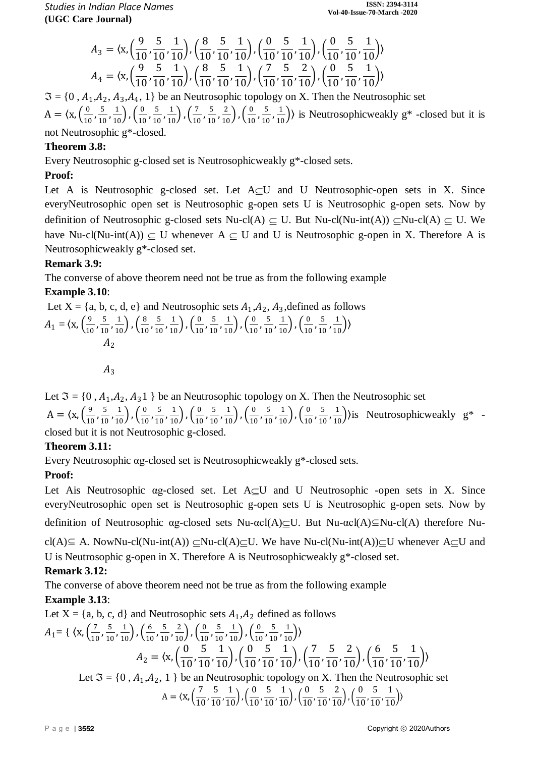*Studies in Indian Place Names* **(UGC Care Journal)**

$$
A_3 = \langle x, \left(\frac{9}{10}, \frac{5}{10}, \frac{1}{10}\right), \left(\frac{8}{10}, \frac{5}{10}, \frac{1}{10}\right), \left(\frac{0}{10}, \frac{5}{10}, \frac{1}{10}\right), \left(\frac{0}{10}, \frac{5}{10}, \frac{1}{10}\right) \rangle
$$
  

$$
A_4 = \langle x, \left(\frac{9}{10}, \frac{5}{10}, \frac{1}{10}\right), \left(\frac{8}{10}, \frac{5}{10}, \frac{1}{10}\right), \left(\frac{7}{10}, \frac{5}{10}, \frac{2}{10}\right), \left(\frac{0}{10}, \frac{5}{10}, \frac{1}{10}\right) \rangle
$$

 $\mathfrak{I} = \{0, A_1, A_2, A_3, A_4, 1\}$  be an Neutrosophic topology on X. Then the Neutrosophic set  $A = \langle x, \left( \frac{0}{10} \right) \rangle$  $\frac{0}{10}$ ,  $\frac{5}{10}$  $\frac{5}{10}, \frac{1}{10}$ ,  $\left(\frac{0}{10}\right)$  $\frac{0}{10}$ ,  $\frac{5}{10}$  $\frac{5}{10}, \frac{1}{10}$ ,  $\left(\frac{7}{10}\right)$  $\frac{7}{10}$ ,  $\frac{5}{10}$  $\frac{5}{10}, \frac{2}{10}$ ,  $\left(\frac{0}{10}\right)$  $\frac{0}{10}$ ,  $\frac{5}{10}$  $\left(\frac{5}{10}, \frac{1}{10}\right)$  is Neutrosophicweakly g<sup>\*</sup> -closed but it is not Neutrosophic g\*-close

#### **Theorem 3.8:**

Every Neutrosophic g-closed set is Neutrosophicweakly g\*-closed sets.

#### **Proof:**

Let A is Neutrosophic g-closed set. Let  $A \subseteq U$  and U Neutrosophic-open sets in X. Since everyNeutrosophic open set is Neutrosophic g-open sets U is Neutrosophic g-open sets. Now by definition of Neutrosophic g-closed sets Nu-cl(A)  $\subseteq$  U. But Nu-cl(Nu-int(A))  $\subseteq$ Nu-cl(A)  $\subseteq$  U. We have Nu-cl(Nu-int(A))  $\subseteq U$  whenever A  $\subseteq U$  and U is Neutrosophic g-open in X. Therefore A is Neutrosophicweakly g\*-closed set.

#### **Remark 3.9:**

The converse of above theorem need not be true as from the following example

#### **Example 3.10**:

Let X = {a, b, c, d, e} and Neutrosophic sets 
$$
A_1, A_2, A_3
$$
, defined as follows  
\n
$$
A_1 = \langle x, \left(\frac{9}{10}, \frac{5}{10}, \frac{1}{10}\right), \left(\frac{8}{10}, \frac{5}{10}, \frac{1}{10}\right), \left(\frac{0}{10}, \frac{5}{10}, \frac{1}{10}\right), \left(\frac{0}{10}, \frac{5}{10}, \frac{1}{10}\right), \left(\frac{0}{10}, \frac{5}{10}, \frac{1}{10}\right) \rangle
$$
\n
$$
A_2
$$
\n
$$
A_3
$$

Let  $\mathfrak{I} = \{0, A_1, A_2, A_3\}$  be an Neutrosophic topology on X. Then the Neutrosophic set  $A = \langle x, \left( \frac{9}{10} \right) \rangle$  $\frac{9}{10}$ ,  $\frac{5}{10}$  $\frac{5}{10}, \frac{1}{10}$ ,  $\left(\frac{0}{10}\right)$  $\frac{0}{10}$ ,  $\frac{5}{10}$  $\frac{5}{10}, \frac{1}{10}$ ,  $\left(\frac{0}{10}\right)$  $\frac{0}{10}$ ,  $\frac{5}{10}$  $\frac{5}{10}, \frac{1}{10}$ ,  $\left(\frac{0}{10}\right)$  $\frac{0}{10}$ ,  $\frac{5}{10}$  $\frac{5}{10}, \frac{1}{10}$ ,  $\left(\frac{0}{10}\right)$  $\frac{0}{10}$ ,  $\frac{5}{10}$  $\left(\frac{5}{10}, \frac{1}{10}\right)$ ) is Neutrosophicweakly g<sup>\*</sup> closed but it is not Neutrosophic g-closed.

#### **Theorem 3.11:**

Every Neutrosophic αg-closed set is Neutrosophicweakly g\*-closed sets.

#### **Proof:**

Let Ais Neutrosophic ag-closed set. Let  $A \subset U$  and U Neutrosophic -open sets in X. Since everyNeutrosophic open set is Neutrosophic g-open sets U is Neutrosophic g-open sets. Now by

definition of Neutrosophic αg-closed sets Nu- $\alpha c l(A) \subseteq U$ . But Nu- $\alpha c l(A) \subseteq Nu - c l(A)$  therefore Nu-

cl(A)⊆ A. NowNu-cl(Nu-int(A))  $\subset$ Nu-cl(A) $\subset$ U. We have Nu-cl(Nu-int(A)) $\subset$ U whenever A $\subset$ U and U is Neutrosophic g-open in X. Therefore A is Neutrosophicweakly  $g^*$ -closed set.

#### **Remark 3.12:**

The converse of above theorem need not be true as from the following example **Example 3.13**:

Let  $X = \{a, b, c, d\}$  and Neutrosophic sets  $A_1, A_2$  defined as follows

$$
A_1 = \{ \langle x, \left(\frac{7}{10}, \frac{5}{10}, \frac{1}{10}\right), \left(\frac{6}{10}, \frac{5}{10}, \frac{2}{10}\right), \left(\frac{0}{10}, \frac{5}{10}, \frac{1}{10}\right), \left(\frac{0}{10}, \frac{5}{10}, \frac{1}{10}\right) \rangle
$$
  
\n
$$
A_2 = \langle x, \left(\frac{0}{10}, \frac{5}{10}, \frac{1}{10}\right), \left(\frac{0}{10}, \frac{5}{10}, \frac{1}{10}\right), \left(\frac{7}{10}, \frac{5}{10}, \frac{2}{10}\right), \left(\frac{6}{10}, \frac{5}{10}, \frac{1}{10}\right) \rangle
$$
  
\nLet  $\Im = \{0, A_1, A_2, 1\}$  be an Neutrosophic topology on X. Then the Neutrosophic set  
\n
$$
A = \langle x, \left(\frac{7}{10}, \frac{5}{10}, \frac{1}{10}\right), \left(\frac{0}{10}, \frac{5}{10}, \frac{1}{10}\right), \left(\frac{0}{10}, \frac{5}{10}, \frac{2}{10}\right), \left(\frac{0}{10}, \frac{5}{10}, \frac{1}{10}\right) \rangle
$$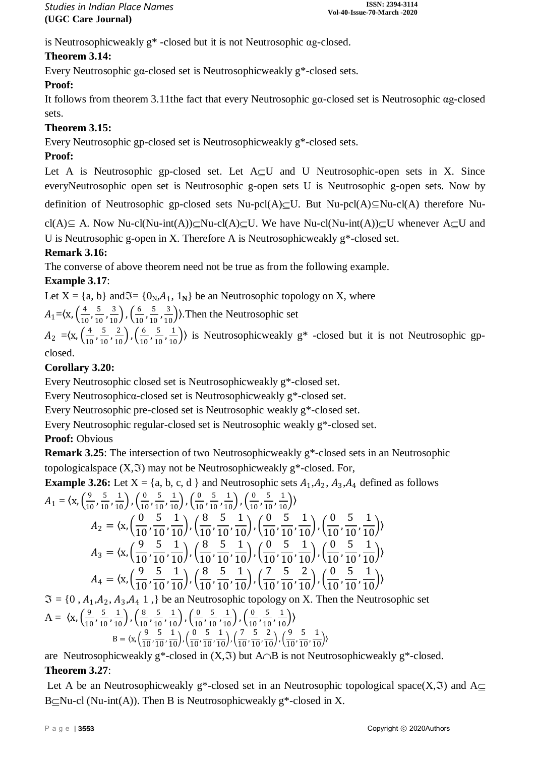is Neutrosophicweakly g\* -closed but it is not Neutrosophic αg-closed.

## **Theorem 3.14:**

Every Neutrosophic gα-closed set is Neutrosophicweakly g\*-closed sets.

## **Proof:**

It follows from theorem 3.11the fact that every Neutrosophic gα-closed set is Neutrosophic αg-closed sets.

## **Theorem 3.15:**

Every Neutrosophic gp-closed set is Neutrosophicweakly g\*-closed sets.

## **Proof:**

Let A is Neutrosophic gp-closed set. Let  $A\subset U$  and U Neutrosophic-open sets in X. Since everyNeutrosophic open set is Neutrosophic g-open sets U is Neutrosophic g-open sets. Now by

definition of Neutrosophic gp-closed sets Nu-pcl(A) $\subseteq$ U. But Nu-pcl(A) $\subseteq$ Nu-cl(A) therefore Nu-

cl(A)⊆ A. Now Nu-cl(Nu-int(A)) $\subseteq$ Nu-cl(A) $\subseteq$ U. We have Nu-cl(Nu-int(A)) $\subseteq$ U whenever A $\subset$ U and

U is Neutrosophic g-open in X. Therefore A is Neutrosophicweakly g\*-closed set.

## **Remark 3.16:**

The converse of above theorem need not be true as from the following example.

## **Example 3.17**:

Let  $X = \{a, b\}$  and  $\mathfrak{S} = \{0_N, A_1, 1_N\}$  be an Neutrosophic topology on X, where

 $A_1 = \frac{x}{10} \left( \frac{4}{10} \right)$  $\frac{4}{10}$ ,  $\frac{5}{10}$  $\frac{5}{10}, \frac{3}{10}$ ,  $\left(\frac{6}{10}\right)$  $\frac{6}{10}$ ,  $\frac{5}{10}$  $\left(\frac{5}{10}, \frac{3}{10}\right)$ ). Then the Neutrosophic set

 $A_2 = \frac{x}{10} \left( \frac{4}{10} \right)$  $\frac{4}{10}$ ,  $\frac{5}{10}$  $\frac{5}{10}, \frac{2}{10}$ ,  $\left(\frac{6}{10}\right)$  $\frac{6}{10}$ ,  $\frac{5}{10}$  $\left(\frac{5}{10}, \frac{1}{10}\right)$  is Neutrosophicweakly g<sup>\*</sup> -closed but it is not Neutrosophic gpclosed.

## **Corollary 3.20:**

Every Neutrosophic closed set is Neutrosophicweakly g\*-closed set.

Every Neutrosophicα-closed set is Neutrosophicweakly g\*-closed set.

Every Neutrosophic pre-closed set is Neutrosophic weakly g\*-closed set.

Every Neutrosophic regular-closed set is Neutrosophic weakly g\*-closed set.

## **Proof:** Obvious

**Remark 3.25**: The intersection of two Neutrosophicweakly g\*-closed sets in an Neutrosophic topologicalspace  $(X, \mathfrak{I})$  may not be Neutrosophicweakly g\*-closed. For,

**Example 3.26:** Let  $X = \{a, b, c, d\}$  and Neutrosophic sets  $A_1, A_2, A_3, A_4$  defined as follows  $A_1 = \langle x, \frac{9}{10} \rangle$  $\frac{9}{10}$ ,  $\frac{5}{10}$  $\frac{5}{10}, \frac{1}{10}$ ,  $\left(\frac{0}{10}\right)$  $\frac{0}{10}$ ,  $\frac{5}{10}$  $\frac{5}{10}, \frac{1}{10}$ ,  $\left(\frac{0}{10}\right)$  $\frac{0}{10}$ ,  $\frac{5}{10}$  $\frac{5}{10}, \frac{1}{10}$ ,  $\left(\frac{0}{10}\right)$  $\frac{0}{10}$ ,  $\frac{5}{10}$  $\frac{5}{10}, \frac{1}{10}$  $A_2 = \langle x, ($ 0  $\frac{1}{10}$ 5  $\frac{1}{10}$ 1  $\frac{1}{10}$ ),  $($ 8  $\frac{1}{10}$ 5  $\frac{1}{10}$ 1  $\frac{1}{10}$ ),  $($ 0  $\frac{1}{10}$ 5  $\frac{1}{10}$ 1  $\frac{1}{10}$ ,  $\left($ 0  $\frac{1}{10}$ 5  $\frac{1}{10}$ 1  $\frac{1}{10}$  $A_3 = \langle x, ($ 9  $\frac{1}{10}$ 5  $\frac{1}{10}$ 1  $\frac{1}{10}$ ),  $($ 8  $\frac{1}{10}$ 5  $\frac{1}{10}$ 1  $\frac{1}{10}$ ,  $\left($ 0  $\frac{1}{10}$ 5  $\frac{1}{10}$ 1  $\frac{1}{10}$ ),  $($ 0  $\frac{1}{10}$ 5  $\frac{1}{10}$ 1  $\frac{1}{10}$  $A_4 = \langle x, ($ 9  $\frac{1}{10}$ 5  $\frac{1}{10}$ 1  $\frac{1}{10}$ ),  $($ 8  $\frac{1}{10}$ 5  $\frac{1}{10}$ 1  $\frac{1}{10}$ ,  $\left($ 7  $\frac{1}{10}$ 5  $\frac{1}{10}$ 2  $\frac{1}{10}$ ),  $($ 0  $\frac{1}{10}$ 5  $\frac{1}{10}$ 1  $\frac{1}{10}$ 

 $\mathfrak{I} = \{0, A_1, A_2, A_3, A_4, 1, \}$  be an Neutrosophic topology on X. Then the Neutrosophic set  $A = \langle x, \left( \frac{9}{10} \right) \rangle$  $\frac{9}{10}$ ,  $\frac{5}{10}$  $\frac{5}{10}, \frac{1}{10}$ ,  $\left(\frac{8}{10}\right)$  $\frac{8}{10}$ ,  $\frac{5}{10}$  $\left(\frac{5}{10},\frac{1}{10}\right), \left(\frac{0}{10}\right)$  $\frac{0}{10}$ ,  $\frac{5}{10}$  $\left(\frac{5}{10},\frac{1}{10}\right), \left(\frac{0}{10}\right)$  $\frac{0}{10}$ ,  $\frac{5}{10}$  $\frac{5}{10}, \frac{1}{10}$ B =  $\langle x, \left(\frac{9}{10}, \frac{5}{10}, \frac{1}{10}\right), \left(\frac{0}{10}, \frac{5}{10}, \frac{1}{10}\right), \left(\frac{7}{10}, \frac{5}{10}, \frac{2}{10}\right), \left(\frac{9}{10}, \frac{5}{10}, \frac{1}{10}\right)$ 

B = 
$$
(x, (\frac{1}{10}, \frac{1}{10}), (\frac{1}{10}, \frac{1}{10}, \frac{1}{10}), (\frac{1}{10}, \frac{1}{10}, \frac{1}{10}), (\frac{1}{10}, \frac{1}{10}, \frac{1}{10})
$$

are Neutrosophicweakly  $g^*$ -closed in  $(X, \mathfrak{F})$  but A $\cap$ B is not Neutrosophicweakly  $g^*$ -closed. **Theorem 3.27**:

Let A be an Neutrosophicweakly g<sup>\*</sup>-closed set in an Neutrosophic topological space(X, $\mathfrak{I}$ ) and A $\subset$ B $\subseteq$ Nu-cl (Nu-int(A)). Then B is Neutrosophicweakly g<sup>\*</sup>-closed in X.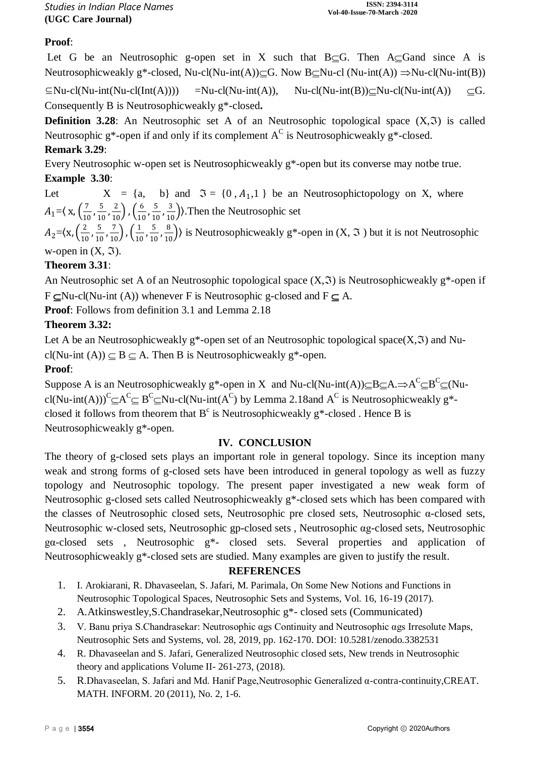## **Proof**:

Let G be an Neutrosophic g-open set in X such that  $B \subset G$ . Then  $A \subset G$  and since A is Neutrosophicweakly g\*-closed, Nu-cl(Nu-int(A)) $\subseteq$ G. Now B $\subseteq$ Nu-cl (Nu-int(A))  $\Rightarrow$ Nu-cl(Nu-int(B))

 $\subseteq$ Nu-cl(Nu-int(Nu-cl(Int(A)))) =Nu-cl(Nu-int(A)), Nu-cl(Nu-int(B)) $\subseteq$ Nu-cl(Nu-int(A))  $\subseteq$ G. Consequently B is Neutrosophicweakly g\*-closed**.**

**Definition 3.28**: An Neutrosophic set A of an Neutrosophic topological space  $(X, \mathfrak{T})$  is called Neutrosophic g\*-open if and only if its complement  $A^C$  is Neutrosophicweakly g\*-closed.

**Remark 3.29**:

Every Neutrosophic w-open set is Neutrosophicweakly g\*-open but its converse may notbe true. **Example 3.30**:

Let  $X = \{a, b\}$  and  $\mathfrak{I} = \{0, A_1, 1\}$  be an Neutrosophictopology on X, where  $A_1 = \left(x, \frac{7}{10}\right)$  $\frac{7}{10}$ ,  $\frac{5}{10}$  $\frac{5}{10}, \frac{2}{10}$ ,  $\left(\frac{6}{10}\right)$  $\frac{6}{10}$ ,  $\frac{5}{10}$  $\left(\frac{5}{10}, \frac{3}{10}\right)$ . Then the Neutrosophic set

 $A_2 = \frac{x}{10} \left( \frac{2}{10} \right)$  $\frac{2}{10}$ ,  $\frac{5}{10}$  $\frac{5}{10}, \frac{7}{10}$ ,  $\left(\frac{1}{10}\right)$  $\frac{1}{10}$ ,  $\frac{5}{10}$  $\left(\frac{5}{10}, \frac{8}{10}\right)$  is Neutrosophicweakly g\*-open in  $(X, \Im)$  but it is not Neutrosophic w-open in  $(X, \Im)$ .

## **Theorem 3.31**:

An Neutrosophic set A of an Neutrosophic topological space  $(X, \mathfrak{I})$  is Neutrosophicweakly g<sup>\*</sup>-open if  $F \subset Nu-cl(Nu-int (A))$  whenever F is Neutrosophic g-closed and  $F \subset A$ .

**Proof**: Follows from definition 3.1 and Lemma 2.18

## **Theorem 3.32:**

Let A be an Neutrosophicweakly g<sup>\*</sup>-open set of an Neutrosophic topological space( $X$ , $\mathfrak{I}$ ) and Nucl(Nu-int (A))  $\subseteq$  B  $\subseteq$  A. Then B is Neutrosophicweakly g\*-open.

## **Proof**:

Suppose A is an Neutrosophicweakly g\*-open in X and Nu-cl(Nu-int(A)) $\subseteq$ B $\subseteq$ A. $\Rightarrow$ A<sup>C</sup> $\subseteq$ B<sup>C</sup> $\subseteq$ (Nucl(Nu-int(A)))<sup>C</sup> $\subseteq$ A<sup>C</sup> $\subseteq$  B<sup>C</sup> $\subseteq$ Nu-cl(Nu-int(A<sup>C</sup>) by Lemma 2.18and A<sup>C</sup> is Neutrosophicweakly g<sup>\*</sup>closed it follows from theorem that  $B^c$  is Neutrosophicweakly  $g^*$ -closed. Hence B is Neutrosophicweakly g\*-open.

## **IV. CONCLUSION**

The theory of g-closed sets plays an important role in general topology. Since its inception many weak and strong forms of g-closed sets have been introduced in general topology as well as fuzzy topology and Neutrosophic topology. The present paper investigated a new weak form of Neutrosophic g-closed sets called Neutrosophicweakly g\*-closed sets which has been compared with the classes of Neutrosophic closed sets, Neutrosophic pre closed sets, Neutrosophic α-closed sets, Neutrosophic w-closed sets, Neutrosophic gp-closed sets , Neutrosophic αg-closed sets, Neutrosophic gα-closed sets , Neutrosophic g\*- closed sets. Several properties and application of Neutrosophicweakly g\*-closed sets are studied. Many examples are given to justify the result.

## **REFERENCES**

- 1. I. Arokiarani, R. Dhavaseelan, S. Jafari, M. Parimala, On Some New Notions and Functions in Neutrosophic Topological Spaces, Neutrosophic Sets and Systems, Vol. 16, 16-19 (2017).
- 2. A.Atkinswestley,S.Chandrasekar,Neutrosophic g\*- closed sets (Communicated)
- 3. V. Banu priya S.Chandrasekar: Neutrosophic αgs Continuity and Neutrosophic αgs Irresolute Maps, Neutrosophic Sets and Systems, vol. 28, 2019, pp. 162-170. DOI: 10.5281/zenodo.3382531
- 4. R. Dhavaseelan and S. Jafari, Generalized Neutrosophic closed sets, New trends in Neutrosophic theory and applications Volume II- 261-273, (2018).
- 5. R.Dhavaseelan, S. Jafari and Md. Hanif Page,Neutrosophic Generalized α-contra-continuity,CREAT. MATH. INFORM. 20 (2011), No. 2, 1-6.